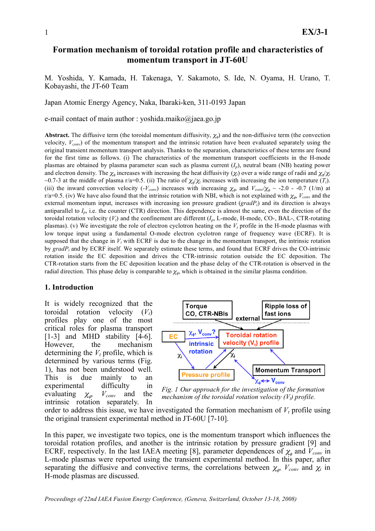# **Formation mechanism of toroidal rotation profile and characteristics of momentum transport in JT-60U**

M. Yoshida, Y. Kamada, H. Takenaga, Y. Sakamoto, S. Ide, N. Oyama, H. Urano, T. Kobayashi, the JT-60 Team

Japan Atomic Energy Agency, Naka, Ibaraki-ken, 311-0193 Japan

e-mail contact of main author : yoshida.maiko@jaea.go.jp

**Abstract.** The diffusive term (the toroidal momentum diffusivity,  $\chi_{\phi}$ ) and the non-diffusive term (the convection velocity, *Vconv*) of the momentum transport and the intrinsic rotation have been evaluated separately using the original transient momentum transport analysis. Thanks to the separation, characteristics of these terms are found for the first time as follows. (i) The characteristics of the momentum transport coefficients in the H-mode plasmas are obtained by plasma parameter scan such as plasma current (*Ip*), neutral beam (NB) heating power and electron density. The  $\chi_{\phi}$  increases with increasing the heat diffusivity ( $\chi_i$ ) over a wide range of radii and  $\chi_{\phi}/\chi_i$  $\sim$ 0.7-3 at the middle of plasma r/a=0.5. (ii) The ratio of  $\chi$ <sub> $\phi$ </sub>/ $\chi$ <sub>i</sub> increases with increasing the ion temperature (*T<sub>i</sub>*). (iii) the inward convection velocity (- $V_{conv}$ ) increases with increasing  $\chi_{\phi}$  and  $V_{conv}/\chi_{\phi} \sim -2.0$  - -0.7 (1/m) at r/a=0.5. (iv) We have also found that the intrinsic rotation with NBI, which is not explained with  $\chi_{\phi}$ ,  $V_{conv}$  and the external momentum input, increases with increasing ion pressure gradient (*gradPi*) and its direction is always antiparallel to  $I_p$ , i.e. the counter (CTR) direction. This dependence is almost the same, even the direction of the toroidal rotation velocity ( $V_t$ ) and the confinement are different ( $I_p$ , L-mode, H-mode, CO-, BAL-, CTR-rotating plasmas). (v) We investigate the role of electron cyclotron heating on the  $V_t$  profile in the H-mode plasmas with low torque input using a fundamental O-mode electron cyclotron range of frequency wave (ECRF). It is supposed that the change in  $V_t$  with ECRF is due to the change in the momentum transport, the intrinsic rotation by *gradPi* and by ECRF itself. We separately estimate these terms, and found that ECRF drives the CO-intrinsic rotation inside the EC deposition and drives the CTR-intrinsic rotation outside the EC deposition. The CTR-rotation starts from the EC deposition location and the phase delay of the CTR-rotation is observed in the radial direction. This phase delay is comparable to  $\chi_{\phi}$ , which is obtained in the similar plasma condition.

### **1. Introduction**

It is widely recognized that the toroidal rotation velocity  $(V_t)$ profiles play one of the most critical roles for plasma transport [1-3] and MHD stability [4-6]. However, the mechanism determining the  $V_t$  profile, which is determined by various terms (Fig. 1), has not been understood well. This is due mainly to an experimental difficulty in evaluating  $\chi_{\phi}$  $V_{conv}$  and the intrinsic rotation separately. In



*Fig. 1 Our approach for the investigation of the formation mechanism of the toroidal rotation velocity*  $(V_t)$  *profile.* 

order to address this issue, we have investigated the formation mechanism of  $V_t$  profile using the original transient experimental method in JT-60U [7-10].

In this paper, we investigate two topics, one is the momentum transport which influences the toroidal rotation profiles, and another is the intrinsic rotation by pressure gradient [9] and ECRF, respectively. In the last IAEA meeting [8], parameter dependences of  $\chi_{\phi}$  and  $V_{conv}$  in L-mode plasmas were reported using the transient experimental method. In this paper, after separating the diffusive and convective terms, the correlations between  $\chi_{\phi}$ ,  $V_{conv}$  and  $\chi_i$  in H-mode plasmas are discussed.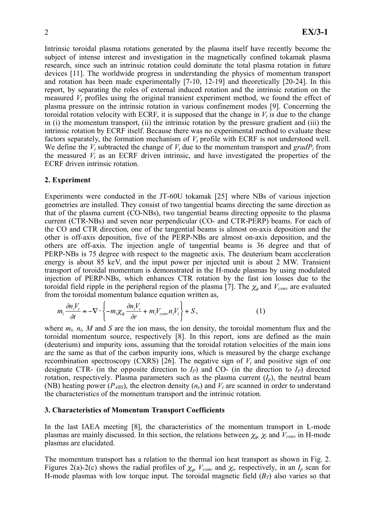Intrinsic toroidal plasma rotations generated by the plasma itself have recently become the subject of intense interest and investigation in the magnetically confined tokamak plasma research, since such an intrinsic rotation could dominate the total plasma rotation in future devices [11]. The worldwide progress in understanding the physics of momentum transport and rotation has been made experimentally [7-10, 12-19] and theoretically [20-24]. In this report, by separating the roles of external induced rotation and the intrinsic rotation on the measured  $V_t$  profiles using the original transient experiment method, we found the effect of plasma pressure on the intrinsic rotation in various confinement modes [9]. Concerning the toroidal rotation velocity with ECRF, it is supposed that the change in  $V_t$  is due to the change in (i) the momentum transport, (ii) the intrinsic rotation by the pressure gradient and (iii) the intrinsic rotation by ECRF itself. Because there was no experimental method to evaluate these factors separately, the formation mechanism of  $V_t$  profile with ECRF is not understood well. We define the  $V_t$  subtracted the change of  $V_t$  due to the momentum transport and gradP<sub>i</sub> from the measured  $V_t$  as an ECRF driven intrinsic, and have investigated the properties of the ECRF driven intrinsic rotation.

#### **2. Experiment**

Experiments were conducted in the JT-60U tokamak [25] where NBs of various injection geometries are installed. They consist of two tangential beams directing the same direction as that of the plasma current (CO-NBs), two tangential beams directing opposite to the plasma current (CTR-NBs) and seven near perpendicular (CO- and CTR-PERP) beams. For each of the CO and CTR direction, one of the tangential beams is almost on-axis deposition and the other is off-axis deposition, five of the PERP-NBs are almost on-axis deposition, and the others are off-axis. The injection angle of tangential beams is 36 degree and that of PERP-NBs is 75 degree with respect to the magnetic axis. The deuterium beam acceleration energy is about 85 keV, and the input power per injected unit is about 2 MW. Transient transport of toroidal momentum is demonstrated in the H-mode plasmas by using modulated injection of PERP-NBs, which enhances CTR rotation by the fast ion losses due to the toroidal field ripple in the peripheral region of the plasma [7]. The  $\chi_{\phi}$  and  $V_{conv}$  are evaluated from the toroidal momentum balance equation written as,

$$
m_i \frac{\partial n_i V_t}{\partial t} = -\nabla \cdot \left\{ -m_i \chi_\phi \frac{\partial n_i V_t}{\partial r} + m_i V_{conv} n_i V_t \right\} + S, \tag{1}
$$

where  $m_i$ ,  $n_i$ , M and S are the ion mass, the ion density, the toroidal momentum flux and the toroidal momentum source, respectively [8]. In this report, ions are defined as the main (deuterium) and impurity ions, assuming that the toroidal rotation velocities of the main ions are the same as that of the carbon impurity ions, which is measured by the charge exchange recombination spectroscopy (CXRS) [26]. The negative sign of  $V_t$  and positive sign of one designate CTR- (in the opposite direction to  $I_P$ ) and CO- (in the direction to  $I_P$ ) directed rotation, respectively. Plasma parameters such as the plasma current  $(I_p)$ , the neutral beam (NB) heating power ( $P_{ABS}$ ), the electron density ( $n_e$ ) and  $V_t$  are scanned in order to understand the characteristics of the momentum transport and the intrinsic rotation.

#### **3. Characteristics of Momentum Transport Coefficients**

In the last IAEA meeting [8], the characteristics of the momentum transport in L-mode plasmas are mainly discussed. In this section, the relations between  $\chi_{\phi}$ ,  $\chi_{i}$  and  $V_{conv}$  in H-mode plasmas are elucidated.

The momentum transport has a relation to the thermal ion heat transport as shown in Fig. 2. Figures 2(a)-2(c) shows the radial profiles of  $\chi_{\phi}$ ,  $V_{conv}$  and  $\chi_i$ , respectively, in an  $I_p$  scan for H-mode plasmas with low torque input. The toroidal magnetic field  $(B_T)$  also varies so that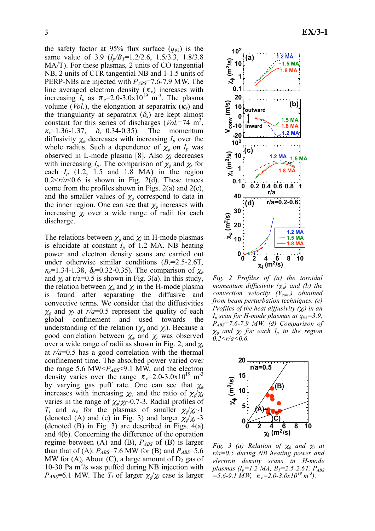the safety factor at 95% flux surface  $(q_{95})$  is the same value of 3.9  $(I_p/B_T=1.2/2.6, 1.5/3.3, 1.8/3.8)$ MA/T). For these plasmas, 2 units of CO tangential NB, 2 units of CTR tangential NB and 1-1.5 units of PERP-NBs are injected with *P<sub>ABS</sub>*=7.6-7.9 MW. The line averaged electron density  $(\bar{n}_e)$  increases with increasing  $I_p$  as  $\bar{n}_e$ =2.0-3.0x10<sup>19</sup> m<sup>-3</sup>. The plasma volume (*Vol.*), the elongation at separatrix  $(\kappa_x)$  and the triangularity at separatrix  $(\delta_x)$  are kept almost constant for this series of discharges  $(Vo\bar{l}$ =74 m<sup>3</sup>,  $K_x=1.36-1.37$ ,  $\delta_x = 0.34 - 0.35$ . The momentum diffusivity  $\chi_{\phi}$  decreases with increasing  $I_p$  over the whole radius. Such a dependence of  $\chi_{\phi}$  on  $I_p$  was observed in L-mode plasma [8]. Also  $\chi_i$  decreases with increasing  $I_p$ . The comparison of  $\chi_{\phi}$  and  $\chi_i$  for each  $I_p$  (1.2, 1.5 and 1.8 MA) in the region  $0.2 \le r/a \le 0.6$  is shown in Fig. 2(d). These traces come from the profiles shown in Figs.  $2(a)$  and  $2(c)$ , and the smaller values of  $\chi_{\phi}$  correspond to data in the inner region. One can see that  $\chi_{\phi}$  increases with increasing  $\chi_i$  over a wide range of radii for each discharge.

The relations between  $\chi_{\phi}$  and  $\chi_i$  in H-mode plasmas is elucidate at constant  $I_p$  of 1.2 MA. NB heating power and electron density scans are carried out under otherwise similar conditions  $(B_T=2.5-2.6T)$ ,  $\kappa_{x}$ =1.34-1.38,  $\delta_{x}$ =0.32-0.35). The comparison of  $\chi_{\phi}$ and  $\chi_i$  at r/a=0.5 is shown in Fig. 3(a). In this study, the relation between  $\chi_{\phi}$  and  $\chi_i$  in the H-mode plasma is found after separating the diffusive and convective terms. We consider that the diffusivities  $\chi_{\phi}$  and  $\chi_{i}$  at  $r/a=0.5$  represent the quality of each global confinement and used towards the understanding of the relation ( $\chi_{\phi}$  and  $\chi_{i}$ ). Because a good correlation between  $\chi_{\phi}$  and  $\chi_{i}$  was observed over a wide range of radii as shown in Fig. 2, and  $\chi$ at *r/a*=0.5 has a good correlation with the thermal confinement time. The absorbed power varied over the range 5.6 MW<*PABS*<9.1 MW, and the electron density varies over the range  $\bar{n}_e$ =2.0-3.0x10<sup>19</sup> m<sup>-3</sup> by varying gas puff rate. One can see that  $\chi_{\phi}$ increases with increasing  $\chi_i$ , and the ratio of  $\chi_i/\chi_i$ varies in the range of  $\chi/\chi$ <sup>-0.7-3</sup>. Radial profiles of  $T_i$  and  $n_e$  for the plasmas of smaller  $\chi_a/\chi_i$  1 (denoted (A) and (c) in Fig. 3) and larger  $\chi_{\phi}/\chi_{i}$  -3 (denoted (B) in Fig. 3) are described in Figs. 4(a) and 4(b). Concerning the difference of the operation regime between (A) and (B), *PABS* of (B) is larger than that of (A):  $P_{ABS}$ =7.6 MW for (B) and  $P_{ABS}$ =5.6 MW for (A). About (C), a large amount of  $D_2$  gas of 10-30 Pa  $\text{m}^3$ /s was puffed during NB injection with  $P_{ABS}$ =6.1 MW. The  $T_i$  of larger  $\chi_i/\chi_i$  case is larger



*Fig. 2 Profiles of (a) the toroidal momentum diffusivity*  $(\chi_{\phi})$  *and (b) the convection velocity (V<sub>conv</sub>) obtained from beam perturbation techniques. (c) Profiles of the heat diffusivity (i) in an Ip scan for H-mode plasmas at q95=3.9, PABS=7.6-7.9 MW. (d) Comparison of*  $\chi_{\phi}$  and  $\chi_i$  for each  $I_p$  in the region  $0.2 \le r/a \le 0.6$ .



*Fig.* 3 (a) Relation of  $\chi_{\phi}$  and  $\chi_{i}$  at *r/a=0.5 during NB heating power and electron density scans in H-mode plasmas (I<sub>p</sub>=1.2 MA, B<sub>T</sub>=2.5-2.6T, P<sub>ABS</sub>)*  $\overline{a}$  =5.6-9.1 MW,  $\overline{n}_e$  = 2.0-3.0x10<sup>19</sup> m<sup>-3</sup>).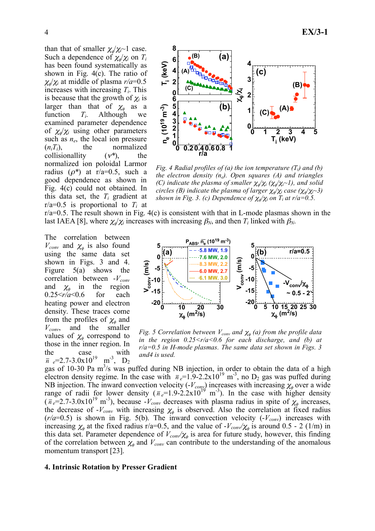than that of smaller  $\chi_{\phi}/\chi_{i}$ <sup>-1</sup> case. Such a dependence of  $\chi_{\phi}/\chi_{i}$  on  $T_{i}$ has been found systematically as shown in Fig. 4(c). The ratio of  $\chi_{a}/\chi_{i}$  at middle of plasma  $r/a=0.5$ increases with increasing *Ti*. This is because that the growth of  $\chi$  is larger than that of  $\chi_a$  as a function *Ti*. Although we examined parameter dependence of  $\chi_{\phi}/\chi_i$  using other parameters such as *ne*, the local ion pressure  $(n_i T_i)$ , the normalized collisionallity  $(v^*)$ , *\**), the normalized ion poloidal Larmor radius  $(\rho^*)$  at r/a=0.5, such a good dependence as shown in Fig. 4(c) could not obtained. In this data set, the  $T_i$  gradient at  $r/a=0.5$  is proportional to  $T_i$  at



*Fig. 4 Radial profiles of (a) the ion temperature (T<sub>i</sub>) and (b) the electron density (ne). Open squares (A) and triangles (C) indicate the plasma of smaller*  $\chi_{\phi} / \chi_{i} (\chi_{\phi} / \chi_{i} \sim 1)$ *, and solid circles (B) indicate the plasma of larger*  $\chi_{\phi}/\chi_{i}$  *case (* $\chi_{\phi}/\chi_{i}$ *-3) shown in Fig. 3. (c) Dependence of*  $\chi_{\phi}/\chi_{i}$  *on T<sub>i</sub> at r/a*=0.5.

 $r/a=0.5$ . The result shown in Fig. 4(c) is consistent with that in L-mode plasmas shown in the last IAEA [8], where  $\chi/\chi$  increases with increasing  $\beta_N$ , and then  $T_i$  linked with  $\beta_N$ .

The correlation between  $V_{conv}$  and  $\chi_{\phi}$  is also found using the same data set shown in Figs. 3 and 4. Figure 5(a) shows the correlation between -  $V_{conv}$ and  $\chi_{\phi}$  in the region 0.25<*r/a*<0.6 for each heating power and electron density. These traces come from the profiles of  $\chi_{\phi}$  and *Vconv*, and the smaller values of  $\chi_{\phi}$  correspond to those in the inner region. In the case with  $\bar{n}$   $_e=2.7-3.0x10^{19}$  m<sup>-3</sup>, D<sub>2</sub>



*Fig. 5 Correlation between*  $V_{conv}$  *and*  $\chi_{\phi}$  *(a) from the profile data in the region 0.25<r/a<0.6 for each discharge, and (b) at r/a=0.5 in H-mode plasmas. The same data set shown in Figs. 3 and4 is used.* 

gas of 10-30 Pa  $m^3$ /s was puffed during NB injection, in order to obtain the data of a high electron density regime. In the case with  $\bar{n}_e=1.9-2.2\times10^{19}$  m<sup>-3</sup>, no D<sub>2</sub> gas was puffed during NB injection. The inward convection velocity  $(V_{\text{conv}})$  increases with increasing  $\chi_{\phi}$  over a wide range of radii for lower density  $(\bar{n}_e=1.9-2.2 \times 10^{19} \text{ m}^3)$ . In the case with higher density  $(\bar{n}_e=2.7-3.0x10^{19} \text{ m}^3)$ , because  $-V_{conv}$  decreases with plasma radius in spite of  $\chi_e$  increases, the decrease of  $-V_{conv}$  with increasing  $\chi_{\phi}$  is observed. Also the correlation at fixed radius  $(r/a=0.5)$  is shown in Fig. 5(b). The inward convection velocity  $(-V_{conv})$  increases with increasing  $\chi_{\phi}$  at the fixed radius r/a=0.5, and the value of  $-V_{conv}/\chi_{\phi}$  is around 0.5 - 2 (1/m) in this data set. Parameter dependence of  $V_{conv}/\chi_{\phi}$  is area for future study, however, this finding of the correlation between  $\chi_{\phi}$  and  $V_{conv}$  can contribute to the understanding of the anomalous momentum transport [23].

#### **4. Intrinsic Rotation by Presser Gradient**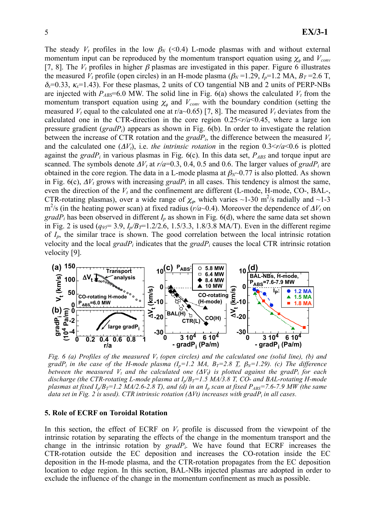The steady  $V_t$  profiles in the low  $\beta_N$  (<0.4) L-mode plasmas with and without external momentum input can be reproduced by the momentum transport equation using  $\chi_{\phi}$  and  $V_{conv}$ [7, 8]. The  $V_t$  profiles in higher  $\beta$  plasmas are investigated in this paper. Figure 6 illustrates the measured  $V_t$  profile (open circles) in an H-mode plasma ( $\beta_N$ =1.29,  $I_p$ =1.2 MA,  $B_T$ =2.6 T,  $\delta_{x}=0.33$ ,  $\kappa_{x}=1.43$ ). For these plasmas, 2 units of CO tangential NB and 2 units of PERP-NBs are injected with  $P_{ABS}$ =6.0 MW. The solid line in Fig. 6(a) shows the calculated  $V_t$  from the momentum transport equation using  $\chi_{\phi}$  and  $V_{conv}$  with the boundary condition (setting the measured  $V_t$  equal to the calculated one at r/a~0.65) [7, 8]. The measured  $V_t$  deviates from the calculated one in the CTR-direction in the core region  $0.25 \le r/a \le 0.45$ , where a large ion pressure gradient (*gradPi*) appears as shown in Fig. 6(b). In order to investigate the relation between the increase of CTR rotation and the  $gradP_i$ , the difference between the measured  $V_t$ and the calculated one  $(\Delta V_t)$ , i.e. *the intrinsic rotation* in the region  $0.3 \le r/a \le 0.6$  is plotted against the  $gradP_i$  in various plasmas in Fig. 6(c). In this data set,  $P_{ABS}$  and torque input are scanned. The symbols denote  $\Delta V_t$  at  $r/a$ =0.3, 0.4, 0.5 and 0.6. The larger values of *gradP<sub>i</sub>* are obtained in the core region. The data in a L-mode plasma at  $\beta_N$ -0.77 is also plotted. As shown in Fig.  $6(c)$ ,  $\Delta V_t$  grows with increasing *gradP<sub>i</sub>* in all cases. This tendency is almost the same, even the direction of the  $V_t$  and the confinement are different (L-mode, H-mode, CO-, BAL-, CTR-rotating plasmas), over a wide range of  $\chi_{\phi}$ , which varies ~1-30 m<sup>2</sup>/s radially and ~1-3  $m^2$ /s (in the heating power scan) at fixed radius ( $r/a$ ~0.4). Moreover the dependence of  $\Delta V_t$  on *gradP<sub>i</sub>* has been observed in different  $I_p$  as shown in Fig. 6(d), where the same data set shown in Fig. 2 is used  $(q_{95}=3.9, I_p/B_T=1.2/2.6, 1.5/3.3, 1.8/3.8 \text{ MA/T})$ . Even in the different regime of *Ip*, the similar trace is shown. The good correlation between the local intrinsic rotation velocity and the local *gradPi* indicates that the *gradPi* causes the local CTR intrinsic rotation velocity [9].



*Fig. 6 (a) Profiles of the measured*  $V_t$  *(open circles) and the calculated one (solid line), (b) and* gradP<sub>i</sub> in the case of the H-mode plasma  $(I_p=1.2 \text{ MA}, B_T=2.8 \text{ T}, \beta_N=1.29)$ . (c) The difference *between the measured*  $V_t$  *and the calculated one*  $(\Delta V_t)$  *is plotted against the gradP<sub>i</sub> for each discharge (the CTR-rotating L-mode plasma at*  $I_p/B_T=1.5$  *MA/3.8 T, CO- and BAL-rotating H-mode plasmas at fixed*  $I_p/B_T=1.2$  *MA/2.6-2.8 T), and (d) in an*  $I_p$  *scan at fixed*  $P_{ABS}=7.6$ *-7.9 MW (the same data set in Fig. 2 is used). CTR intrinsic rotation (Vt) increases with gradPi in all cases.* 

### **5. Role of ECRF on Toroidal Rotation**

In this section, the effect of ECRF on  $V_t$  profile is discussed from the viewpoint of the intrinsic rotation by separating the effects of the change in the momentum transport and the change in the intrinsic rotation by *gradPi*. We have found that ECRF increases the CTR-rotation outside the EC deposition and increases the CO-rotation inside the EC deposition in the H-mode plasma, and the CTR-rotation propagates from the EC deposition location to edge region. In this section, BAL-NBs injected plasmas are adopted in order to exclude the influence of the change in the momentum confinement as much as possible.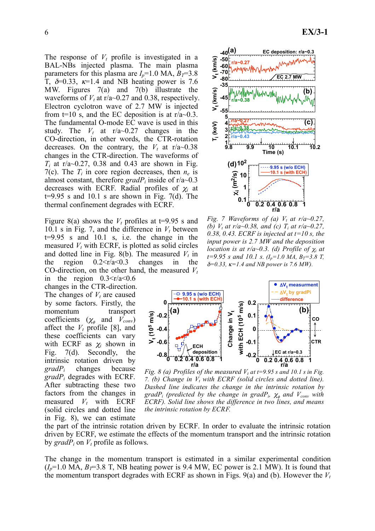The response of  $V_t$  profile is investigated in a BAL-NBs injected plasma. The main plasma parameters for this plasma are  $I<sub>p</sub>=1.0$  MA,  $B<sub>T</sub>=3.8$ T,  $\delta = 0.33$ ,  $\kappa = 1.4$  and NB heating power is 7.6 MW. Figures 7(a) and 7(b) illustrate the waveforms of  $V_t$  at r/a~0.27 and 0.38, respectively. Electron cyclotron wave of 2.7 MW is injected from  $t=10$  s, and the EC deposition is at  $r/a \sim 0.3$ . The fundamental O-mode EC wave is used in this study. The  $V_t$  at  $r/a \sim 0.27$  changes in the CO-direction, in other words, the CTR-rotation decreases. On the contrary, the  $V_t$  at  $r/a \sim 0.38$ changes in the CTR-direction. The waveforms of  $T_i$  at r/a~0.27, 0.38 and 0.43 are shown in Fig. 7(c). The  $T_i$  in core region decreases, then  $n_e$  is almost constant, therefore  $gradP_i$  inside of  $r/a~0.3$ decreases with ECRF. Radial profiles of  $\chi_i$  at  $t=9.95$  s and 10.1 s are shown in Fig. 7(d). The thermal confinement degrades with ECRF.

Figure 8(a) shows the  $V_t$  profiles at t=9.95 s and 10.1 s in Fig. 7, and the difference in  $V_t$  between t=9.95 s and 10.1 s, i.e. the change in the measured  $V_t$  with ECRF, is plotted as solid circles and dotted line in Fig. 8(b). The measured  $V_t$  in the region  $0.2 \le r/a \le 0.3$  changes in the CO-direction, on the other hand, the measured  $V_t$ 

in the region  $0.3 \le r/a \le 0.6$ changes in the CTR-direction. The changes of  $V_t$  are caused by some factors. Firstly, the momentum transport coefficients  $(\chi_{\phi}$  and  $V_{conv})$ affect the  $V_t$  profile [8], and these coefficients can vary with ECRF as  $\chi_i$  shown in Fig. 7(d). Secondly, the intrinsic rotation driven by *gradPi* changes because *gradPi* degrades with ECRF. After subtracting these two factors from the changes in measured  $V_t$  with ECRF (solid circles and dotted line in Fig. 8), we can estimate

6 **EX/3-1** 



*Fig. 7 Waveforms of (a)*  $V_t$  *at r/a~0.27, (b) Vt at r/a~0.38, and (c) Ti at r/a~0.27, 0.38, 0.43. ECRF is injected at t=10 s, the input power is 2.7 MW and the deposition location is at r/a~0.3. (d) Profile of*  $\chi_i$  at  $t=9.95$  s and 10.1 s.  $(I_p=1.0 \text{ MA}, B_T=3.8 \text{ T},$  $\delta = 0.33$ ,  $\kappa = 1.4$  and NB power is 7.6 MW).



*Fig. 8 (a) Profiles of the measured*  $V_t$  *at t*=9.95 *s and 10.1 s in Fig. 7. (b) Change in V<sub>t</sub> with ECRF (solid circles and dotted line). Dashed line indicates the change in the intrinsic rotation by gradP<sub>i</sub>* (predicted by the change in gradP<sub>i</sub>,  $\chi_{\phi}$  and  $V_{conv}$  with *ECRF). Solid line shows the difference in two lines, and means the intrinsic rotation by ECRF.* 

the part of the intrinsic rotation driven by ECRF. In order to evaluate the intrinsic rotation driven by ECRF, we estimate the effects of the momentum transport and the intrinsic rotation by  $gradP_i$  on  $V_t$  profile as follows.

The change in the momentum transport is estimated in a similar experimental condition  $(I_p=1.0 \text{ MA}, B_f=3.8 \text{ T}, \text{ NB heating power is 9.4 MW}, \text{ EC power is 2.1 MW}.$  It is found that the momentum transport degrades with ECRF as shown in Figs.  $9(a)$  and (b). However the  $V_t$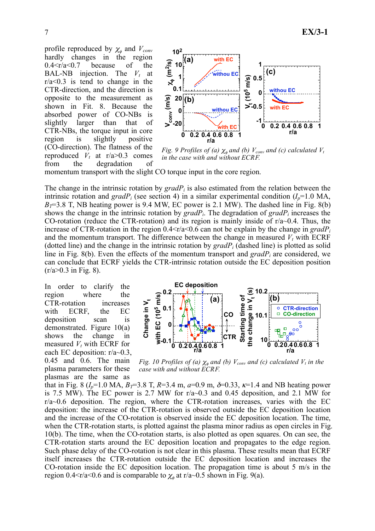profile reproduced by  $\chi_{\phi}$  and  $V_{conv}$ hardly changes in the region  $0.4 \le r/a \le 0.7$  because of the BAL-NB injection. The  $V_t$  at  $r/a < 0.3$  is tend to change in the CTR-direction, and the direction is opposite to the measurement as shown in Fit. 8. Because the absorbed power of CO-NBs is slightly larger than that of CTR-NBs, the torque input in core region is slightly positive (CO-direction). The flatness of the reproduced  $V_t$  at  $r/a > 0.3$  comes from the degradation of



*Fig. 9 Profiles of (a)*  $\chi_{\phi}$  *and (b)*  $V_{conv}$  *and (c) calculated*  $V_t$ *in the case with and without ECRF.* 

momentum transport with the slight CO torque input in the core region.

The change in the intrinsic rotation by *gradPi* is also estimated from the relation between the intrinsic rotation and *grad* $P_i$  (see section 4) in a similar experimental condition  $(I_p=1.0 \text{ MA})$ ,  $B_7=3.8$  T, NB heating power is 9.4 MW, EC power is 2.1 MW). The dashed line in Fig. 8(b) shows the change in the intrinsic rotation by *gradPi*. The degradation of *gradPi* increases the CO-rotation (reduce the CTR-rotation) and its region is mainly inside of  $r/a \sim 0.4$ . Thus, the increase of CTR-rotation in the region  $0.4 \leq r/a \leq 0.6$  can not be explain by the change in *gradP<sub>i</sub>* and the momentum transport. The difference between the change in measured  $V_t$  with ECRF (dotted line) and the change in the intrinsic rotation by  $gradP_i$  (dashed line) is plotted as solid line in Fig. 8(b). Even the effects of the momentum transport and *gradPi* are considered, we can conclude that ECRF yields the CTR-intrinsic rotation outside the EC deposition position  $(r/a > 0.3$  in Fig. 8).

In order to clarify the region where the CTR-rotation increases with ECRF, the EC deposition scan is demonstrated. Figure 10(a) shows the change in measured  $V_t$  with ECRF for each EC deposition:  $r/a \sim 0.3$ , 0.45 and 0.6. The main plasma parameters for these plasmas are the same as



*Fig. 10 Profiles of (a)*  $\chi_{\phi}$  *and (b)*  $V_{conv}$  *and (c) calculated*  $V_t$  *in the case with and without ECRF.* 

that in Fig. 8 ( $I_p$ =1.0 MA,  $B_T$ =3.8 T,  $R$ =3.4 m,  $a$ =0.9 m,  $\delta$ =0.33,  $\kappa$ =1.4 and NB heating power is 7.5 MW). The EC power is 2.7 MW for  $r/a$  $\sim$ 0.3 and 0.45 deposition, and 2.1 MW for r/a~0.6 deposition. The region, where the CTR-rotation increases, varies with the EC deposition: the increase of the CTR-rotation is observed outside the EC deposition location and the increase of the CO-rotation is observed inside the EC deposition location. The time, when the CTR-rotation starts, is plotted against the plasma minor radius as open circles in Fig. 10(b). The time, when the CO-rotation starts, is also plotted as open squares. On can see, the CTR-rotation starts around the EC deposition location and propagates to the edge region. Such phase delay of the CO-rotation is not clear in this plasma. These results mean that ECRF itself increases the CTR-rotation outside the EC deposition location and increases the CO-rotation inside the EC deposition location. The propagation time is about 5 m/s in the region 0.4 < r/a < 0.6 and is comparable to  $\chi_{\phi}$  at r/a ~ 0.5 shown in Fig. 9(a).